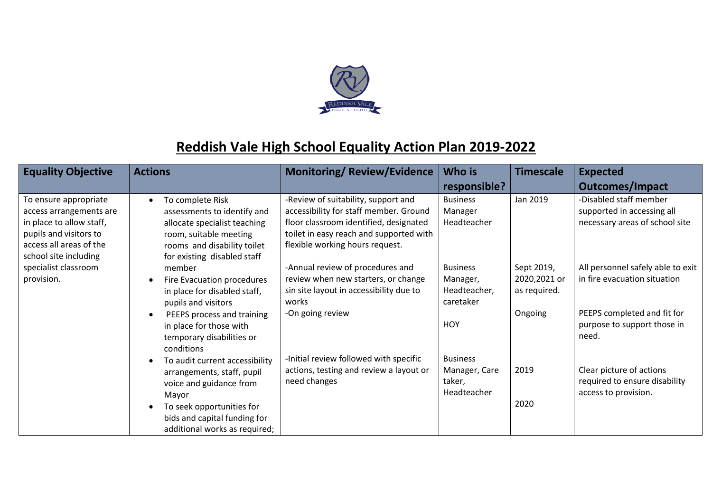

## **Reddish Vale High School Equality Action Plan 2019-2022**

| <b>Equality Objective</b>                                                                                                                                  | <b>Actions</b>                                                                                                                                                                                                            | <b>Monitoring/Review/Evidence</b>                                                                                                                                                                     | Who is                                                                 | <b>Timescale</b>                                      | <b>Expected</b>                                                                                                                          |
|------------------------------------------------------------------------------------------------------------------------------------------------------------|---------------------------------------------------------------------------------------------------------------------------------------------------------------------------------------------------------------------------|-------------------------------------------------------------------------------------------------------------------------------------------------------------------------------------------------------|------------------------------------------------------------------------|-------------------------------------------------------|------------------------------------------------------------------------------------------------------------------------------------------|
|                                                                                                                                                            |                                                                                                                                                                                                                           |                                                                                                                                                                                                       | responsible?                                                           |                                                       | <b>Outcomes/Impact</b>                                                                                                                   |
| To ensure appropriate<br>access arrangements are<br>in place to allow staff,<br>pupils and visitors to<br>access all areas of the<br>school site including | To complete Risk<br>$\bullet$<br>assessments to identify and<br>allocate specialist teaching<br>room, suitable meeting<br>rooms and disability toilet<br>for existing disabled staff                                      | -Review of suitability, support and<br>accessibility for staff member. Ground<br>floor classroom identified, designated<br>toilet in easy reach and supported with<br>flexible working hours request. | <b>Business</b><br>Manager<br>Headteacher                              | Jan 2019                                              | -Disabled staff member<br>supported in accessing all<br>necessary areas of school site                                                   |
| specialist classroom<br>provision.                                                                                                                         | member<br>Fire Evacuation procedures<br>$\bullet$<br>in place for disabled staff,<br>pupils and visitors<br>PEEPS process and training<br>$\bullet$<br>in place for those with<br>temporary disabilities or<br>conditions | -Annual review of procedures and<br>review when new starters, or change<br>sin site layout in accessibility due to<br>works<br>-On going review                                                       | <b>Business</b><br>Manager,<br>Headteacher,<br>caretaker<br><b>HOY</b> | Sept 2019,<br>2020,2021 or<br>as required.<br>Ongoing | All personnel safely able to exit<br>in fire evacuation situation<br>PEEPS completed and fit for<br>purpose to support those in<br>need. |
|                                                                                                                                                            | To audit current accessibility<br>$\bullet$<br>arrangements, staff, pupil<br>voice and guidance from<br>Mayor<br>To seek opportunities for<br>$\bullet$<br>bids and capital funding for<br>additional works as required;  | -Initial review followed with specific<br>actions, testing and review a layout or<br>need changes                                                                                                     | <b>Business</b><br>Manager, Care<br>taker,<br>Headteacher              | 2019<br>2020                                          | Clear picture of actions<br>required to ensure disability<br>access to provision.                                                        |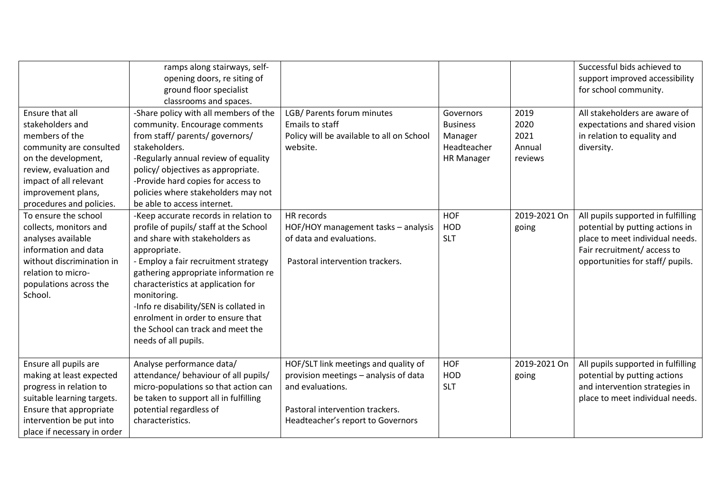|                                                                                                                                                                                                                  | ramps along stairways, self-<br>opening doors, re siting of<br>ground floor specialist<br>classrooms and spaces.                                                                                                                                                                                                                                                                                                                                  |                                                                                                                                                                           |                                                                             |                                           | Successful bids achieved to<br>support improved accessibility<br>for school community.                                                                                     |
|------------------------------------------------------------------------------------------------------------------------------------------------------------------------------------------------------------------|---------------------------------------------------------------------------------------------------------------------------------------------------------------------------------------------------------------------------------------------------------------------------------------------------------------------------------------------------------------------------------------------------------------------------------------------------|---------------------------------------------------------------------------------------------------------------------------------------------------------------------------|-----------------------------------------------------------------------------|-------------------------------------------|----------------------------------------------------------------------------------------------------------------------------------------------------------------------------|
| Ensure that all<br>stakeholders and<br>members of the<br>community are consulted<br>on the development,<br>review, evaluation and<br>impact of all relevant<br>improvement plans,                                | -Share policy with all members of the<br>community. Encourage comments<br>from staff/ parents/ governors/<br>stakeholders.<br>-Regularly annual review of equality<br>policy/objectives as appropriate.<br>-Provide hard copies for access to<br>policies where stakeholders may not                                                                                                                                                              | LGB/ Parents forum minutes<br>Emails to staff<br>Policy will be available to all on School<br>website.                                                                    | Governors<br><b>Business</b><br>Manager<br>Headteacher<br><b>HR Manager</b> | 2019<br>2020<br>2021<br>Annual<br>reviews | All stakeholders are aware of<br>expectations and shared vision<br>in relation to equality and<br>diversity.                                                               |
| procedures and policies.<br>To ensure the school<br>collects, monitors and<br>analyses available<br>information and data<br>without discrimination in<br>relation to micro-<br>populations across the<br>School. | be able to access internet.<br>-Keep accurate records in relation to<br>profile of pupils/ staff at the School<br>and share with stakeholders as<br>appropriate.<br>- Employ a fair recruitment strategy<br>gathering appropriate information re<br>characteristics at application for<br>monitoring.<br>-Info re disability/SEN is collated in<br>enrolment in order to ensure that<br>the School can track and meet the<br>needs of all pupils. | HR records<br>HOF/HOY management tasks - analysis<br>of data and evaluations.<br>Pastoral intervention trackers.                                                          | <b>HOF</b><br><b>HOD</b><br><b>SLT</b>                                      | 2019-2021 On<br>going                     | All pupils supported in fulfilling<br>potential by putting actions in<br>place to meet individual needs.<br>Fair recruitment/access to<br>opportunities for staff/ pupils. |
| Ensure all pupils are<br>making at least expected<br>progress in relation to<br>suitable learning targets.<br>Ensure that appropriate<br>intervention be put into<br>place if necessary in order                 | Analyse performance data/<br>attendance/ behaviour of all pupils/<br>micro-populations so that action can<br>be taken to support all in fulfilling<br>potential regardless of<br>characteristics.                                                                                                                                                                                                                                                 | HOF/SLT link meetings and quality of<br>provision meetings - analysis of data<br>and evaluations.<br>Pastoral intervention trackers.<br>Headteacher's report to Governors | <b>HOF</b><br>HOD<br><b>SLT</b>                                             | 2019-2021 On<br>going                     | All pupils supported in fulfilling<br>potential by putting actions<br>and intervention strategies in<br>place to meet individual needs.                                    |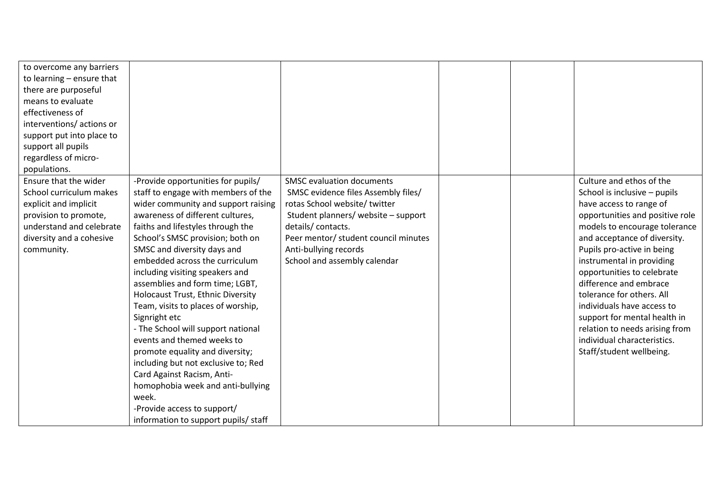| to overcome any barriers<br>to learning $-$ ensure that<br>there are purposeful<br>means to evaluate<br>effectiveness of<br>interventions/actions or<br>support put into place to<br>support all pupils<br>regardless of micro-<br>populations. |                                                                                                                                                                                                                                                                                                                                                                                                                                                                                                                                                                                                                                                                                                                                                                   |                                                                                                                                                                                                                                                                       |  |                                                                                                                                                                                                                                                                                                                                                                                                                                                                                                    |
|-------------------------------------------------------------------------------------------------------------------------------------------------------------------------------------------------------------------------------------------------|-------------------------------------------------------------------------------------------------------------------------------------------------------------------------------------------------------------------------------------------------------------------------------------------------------------------------------------------------------------------------------------------------------------------------------------------------------------------------------------------------------------------------------------------------------------------------------------------------------------------------------------------------------------------------------------------------------------------------------------------------------------------|-----------------------------------------------------------------------------------------------------------------------------------------------------------------------------------------------------------------------------------------------------------------------|--|----------------------------------------------------------------------------------------------------------------------------------------------------------------------------------------------------------------------------------------------------------------------------------------------------------------------------------------------------------------------------------------------------------------------------------------------------------------------------------------------------|
| Ensure that the wider<br>School curriculum makes<br>explicit and implicit<br>provision to promote,<br>understand and celebrate<br>diversity and a cohesive<br>community.                                                                        | -Provide opportunities for pupils/<br>staff to engage with members of the<br>wider community and support raising<br>awareness of different cultures,<br>faiths and lifestyles through the<br>School's SMSC provision; both on<br>SMSC and diversity days and<br>embedded across the curriculum<br>including visiting speakers and<br>assemblies and form time; LGBT,<br>Holocaust Trust, Ethnic Diversity<br>Team, visits to places of worship,<br>Signright etc<br>- The School will support national<br>events and themed weeks to<br>promote equality and diversity;<br>including but not exclusive to; Red<br>Card Against Racism, Anti-<br>homophobia week and anti-bullying<br>week.<br>-Provide access to support/<br>information to support pupils/ staff | <b>SMSC evaluation documents</b><br>SMSC evidence files Assembly files/<br>rotas School website/ twitter<br>Student planners/ website - support<br>details/contacts.<br>Peer mentor/ student council minutes<br>Anti-bullying records<br>School and assembly calendar |  | Culture and ethos of the<br>School is inclusive - pupils<br>have access to range of<br>opportunities and positive role<br>models to encourage tolerance<br>and acceptance of diversity.<br>Pupils pro-active in being<br>instrumental in providing<br>opportunities to celebrate<br>difference and embrace<br>tolerance for others. All<br>individuals have access to<br>support for mental health in<br>relation to needs arising from<br>individual characteristics.<br>Staff/student wellbeing. |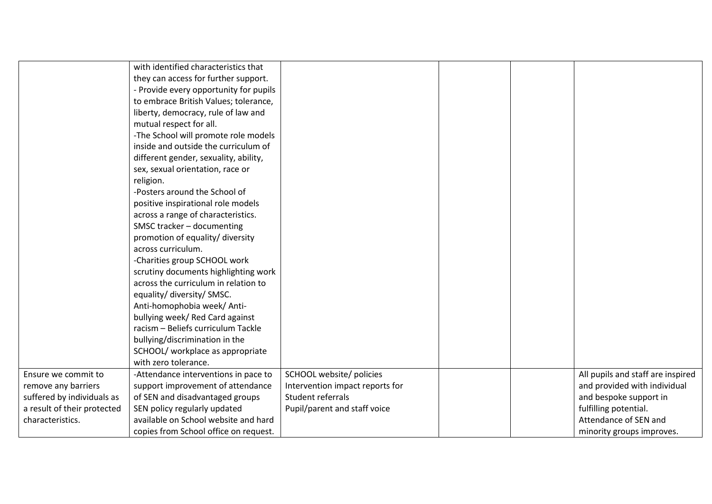|                             | with identified characteristics that   |                                 |  |                                   |
|-----------------------------|----------------------------------------|---------------------------------|--|-----------------------------------|
|                             | they can access for further support.   |                                 |  |                                   |
|                             | - Provide every opportunity for pupils |                                 |  |                                   |
|                             | to embrace British Values; tolerance,  |                                 |  |                                   |
|                             | liberty, democracy, rule of law and    |                                 |  |                                   |
|                             | mutual respect for all.                |                                 |  |                                   |
|                             | -The School will promote role models   |                                 |  |                                   |
|                             | inside and outside the curriculum of   |                                 |  |                                   |
|                             | different gender, sexuality, ability,  |                                 |  |                                   |
|                             | sex, sexual orientation, race or       |                                 |  |                                   |
|                             | religion.                              |                                 |  |                                   |
|                             | -Posters around the School of          |                                 |  |                                   |
|                             | positive inspirational role models     |                                 |  |                                   |
|                             | across a range of characteristics.     |                                 |  |                                   |
|                             | SMSC tracker - documenting             |                                 |  |                                   |
|                             | promotion of equality/ diversity       |                                 |  |                                   |
|                             | across curriculum.                     |                                 |  |                                   |
|                             | -Charities group SCHOOL work           |                                 |  |                                   |
|                             | scrutiny documents highlighting work   |                                 |  |                                   |
|                             | across the curriculum in relation to   |                                 |  |                                   |
|                             | equality/ diversity/ SMSC.             |                                 |  |                                   |
|                             | Anti-homophobia week/ Anti-            |                                 |  |                                   |
|                             | bullying week/ Red Card against        |                                 |  |                                   |
|                             | racism - Beliefs curriculum Tackle     |                                 |  |                                   |
|                             | bullying/discrimination in the         |                                 |  |                                   |
|                             | SCHOOL/ workplace as appropriate       |                                 |  |                                   |
|                             | with zero tolerance.                   |                                 |  |                                   |
| Ensure we commit to         | -Attendance interventions in pace to   | SCHOOL website/ policies        |  | All pupils and staff are inspired |
| remove any barriers         | support improvement of attendance      | Intervention impact reports for |  | and provided with individual      |
| suffered by individuals as  | of SEN and disadvantaged groups        | Student referrals               |  | and bespoke support in            |
| a result of their protected | SEN policy regularly updated           | Pupil/parent and staff voice    |  | fulfilling potential.             |
| characteristics.            | available on School website and hard   |                                 |  | Attendance of SEN and             |
|                             | copies from School office on request.  |                                 |  | minority groups improves.         |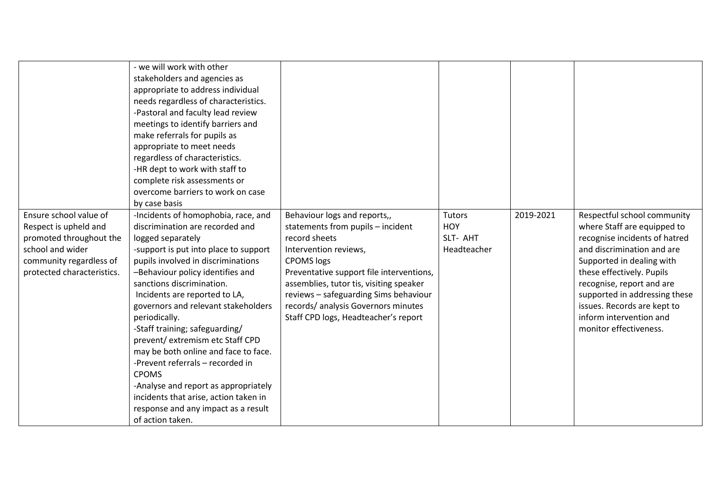| Ensure school value of                           | - we will work with other<br>stakeholders and agencies as<br>appropriate to address individual<br>needs regardless of characteristics.<br>-Pastoral and faculty lead review<br>meetings to identify barriers and<br>make referrals for pupils as<br>appropriate to meet needs<br>regardless of characteristics.<br>-HR dept to work with staff to<br>complete risk assessments or<br>overcome barriers to work on case<br>by case basis<br>-Incidents of homophobia, race, and | Behaviour logs and reports,,                                                        | <b>Tutors</b>          | 2019-2021 | Respectful school community                                  |
|--------------------------------------------------|--------------------------------------------------------------------------------------------------------------------------------------------------------------------------------------------------------------------------------------------------------------------------------------------------------------------------------------------------------------------------------------------------------------------------------------------------------------------------------|-------------------------------------------------------------------------------------|------------------------|-----------|--------------------------------------------------------------|
| Respect is upheld and<br>promoted throughout the | discrimination are recorded and<br>logged separately                                                                                                                                                                                                                                                                                                                                                                                                                           | statements from pupils - incident<br>record sheets                                  | <b>HOY</b><br>SLT- AHT |           | where Staff are equipped to<br>recognise incidents of hatred |
| school and wider                                 | -support is put into place to support                                                                                                                                                                                                                                                                                                                                                                                                                                          | Intervention reviews,                                                               | Headteacher            |           | and discrimination and are                                   |
| community regardless of                          | pupils involved in discriminations                                                                                                                                                                                                                                                                                                                                                                                                                                             | <b>CPOMS</b> logs                                                                   |                        |           | Supported in dealing with                                    |
| protected characteristics.                       | -Behaviour policy identifies and<br>sanctions discrimination.                                                                                                                                                                                                                                                                                                                                                                                                                  | Preventative support file interventions,<br>assemblies, tutor tis, visiting speaker |                        |           | these effectively. Pupils<br>recognise, report and are       |
|                                                  | Incidents are reported to LA,                                                                                                                                                                                                                                                                                                                                                                                                                                                  | reviews - safeguarding Sims behaviour                                               |                        |           | supported in addressing these                                |
|                                                  | governors and relevant stakeholders                                                                                                                                                                                                                                                                                                                                                                                                                                            | records/ analysis Governors minutes                                                 |                        |           | issues. Records are kept to                                  |
|                                                  | periodically.                                                                                                                                                                                                                                                                                                                                                                                                                                                                  | Staff CPD logs, Headteacher's report                                                |                        |           | inform intervention and                                      |
|                                                  | -Staff training; safeguarding/                                                                                                                                                                                                                                                                                                                                                                                                                                                 |                                                                                     |                        |           | monitor effectiveness.                                       |
|                                                  | prevent/extremism etc Staff CPD                                                                                                                                                                                                                                                                                                                                                                                                                                                |                                                                                     |                        |           |                                                              |
|                                                  | may be both online and face to face.<br>-Prevent referrals - recorded in                                                                                                                                                                                                                                                                                                                                                                                                       |                                                                                     |                        |           |                                                              |
|                                                  | <b>CPOMS</b>                                                                                                                                                                                                                                                                                                                                                                                                                                                                   |                                                                                     |                        |           |                                                              |
|                                                  | -Analyse and report as appropriately                                                                                                                                                                                                                                                                                                                                                                                                                                           |                                                                                     |                        |           |                                                              |
|                                                  | incidents that arise, action taken in                                                                                                                                                                                                                                                                                                                                                                                                                                          |                                                                                     |                        |           |                                                              |
|                                                  | response and any impact as a result                                                                                                                                                                                                                                                                                                                                                                                                                                            |                                                                                     |                        |           |                                                              |
|                                                  | of action taken.                                                                                                                                                                                                                                                                                                                                                                                                                                                               |                                                                                     |                        |           |                                                              |